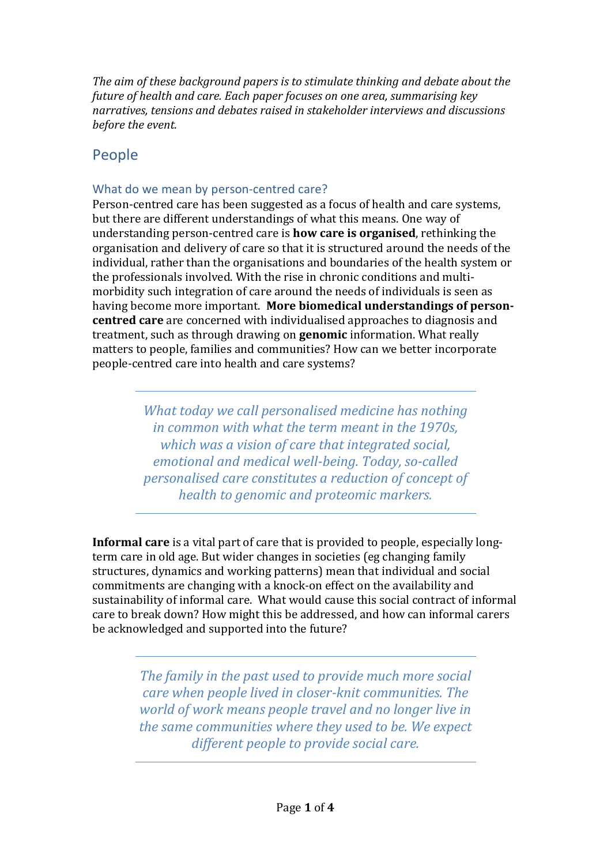*The aim of these background papers is to stimulate thinking and debate about the future of health and care. Each paper focuses on one area, summarising key narratives, tensions and debates raised in stakeholder interviews and discussions before the event.*

# People

# What do we mean by person-centred care?

Person-centred care has been suggested as a focus of health and care systems, but there are different understandings of what this means. One way of understanding person-centred care is **how care is organised**, rethinking the organisation and delivery of care so that it is structured around the needs of the individual, rather than the organisations and boundaries of the health system or the professionals involved. With the rise in chronic conditions and multimorbidity such integration of care around the needs of individuals is seen as having become more important. **More biomedical understandings of personcentred care** are concerned with individualised approaches to diagnosis and treatment, such as through drawing on **genomic** information. What really matters to people, families and communities? How can we better incorporate people-centred care into health and care systems?

> *What today we call personalised medicine has nothing in common with what the term meant in the 1970s, which was a vision of care that integrated social, emotional and medical well-being. Today, so-called personalised care constitutes a reduction of concept of health to genomic and proteomic markers.*

**Informal care** is a vital part of care that is provided to people, especially longterm care in old age. But wider changes in societies (eg changing family structures, dynamics and working patterns) mean that individual and social commitments are changing with a knock-on effect on the availability and sustainability of informal care. What would cause this social contract of informal care to break down? How might this be addressed, and how can informal carers be acknowledged and supported into the future?

> *The family in the past used to provide much more social care when people lived in closer-knit communities. The world of work means people travel and no longer live in the same communities where they used to be. We expect different people to provide social care.*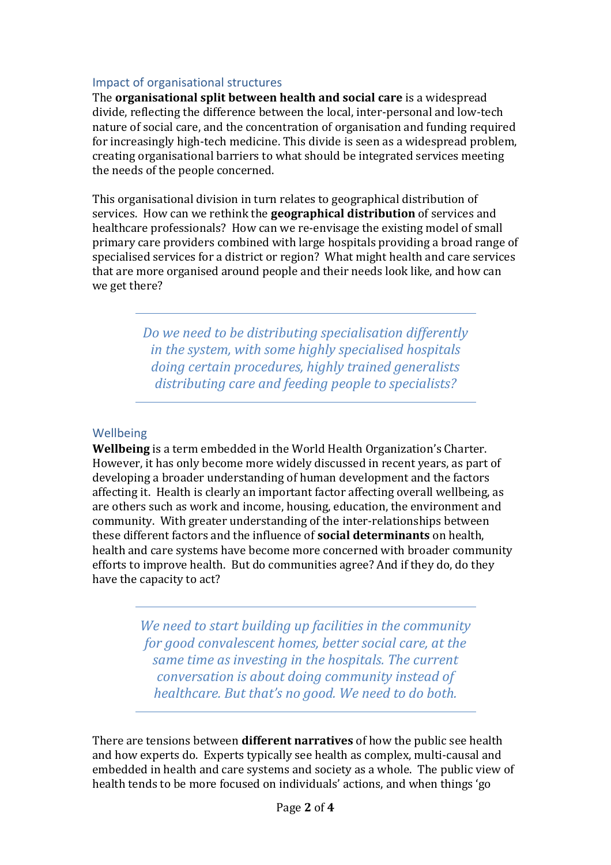#### Impact of organisational structures

The **organisational split between health and social care** is a widespread divide, reflecting the difference between the local, inter-personal and low-tech nature of social care, and the concentration of organisation and funding required for increasingly high-tech medicine. This divide is seen as a widespread problem, creating organisational barriers to what should be integrated services meeting the needs of the people concerned.

This organisational division in turn relates to geographical distribution of services. How can we rethink the **geographical distribution** of services and healthcare professionals? How can we re-envisage the existing model of small primary care providers combined with large hospitals providing a broad range of specialised services for a district or region? What might health and care services that are more organised around people and their needs look like, and how can we get there?

> *Do we need to be distributing specialisation differently in the system, with some highly specialised hospitals doing certain procedures, highly trained generalists distributing care and feeding people to specialists?*

### Wellbeing

**Wellbeing** is a term embedded in the World Health Organization's Charter. However, it has only become more widely discussed in recent years, as part of developing a broader understanding of human development and the factors affecting it. Health is clearly an important factor affecting overall wellbeing, as are others such as work and income, housing, education, the environment and community. With greater understanding of the inter-relationships between these different factors and the influence of **social determinants** on health, health and care systems have become more concerned with broader community efforts to improve health. But do communities agree? And if they do, do they have the capacity to act?

> *We need to start building up facilities in the community for good convalescent homes, better social care, at the same time as investing in the hospitals. The current conversation is about doing community instead of healthcare. But that's no good. We need to do both.*

There are tensions between **different narratives** of how the public see health and how experts do. Experts typically see health as complex, multi-causal and embedded in health and care systems and society as a whole. The public view of health tends to be more focused on individuals' actions, and when things 'go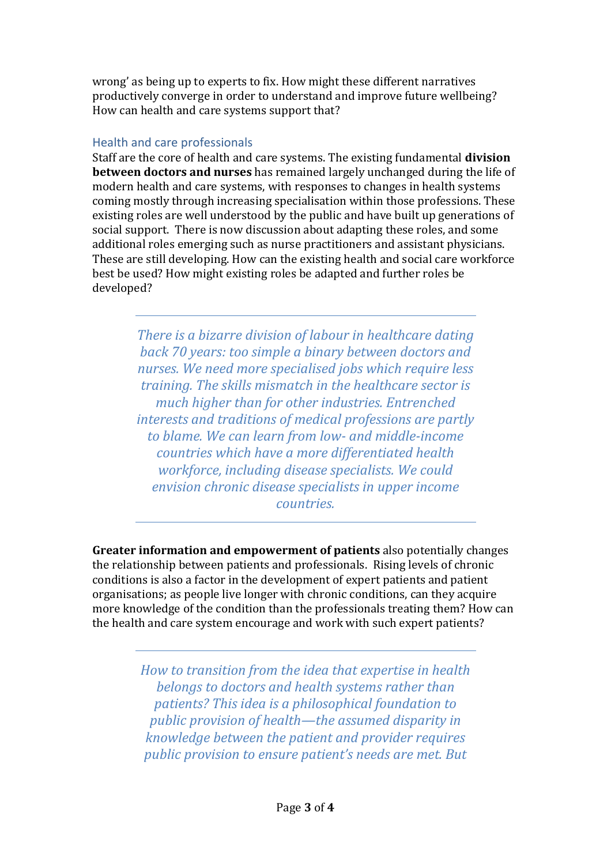wrong' as being up to experts to fix. How might these different narratives productively converge in order to understand and improve future wellbeing? How can health and care systems support that?

## Health and care professionals

Staff are the core of health and care systems. The existing fundamental **division between doctors and nurses** has remained largely unchanged during the life of modern health and care systems, with responses to changes in health systems coming mostly through increasing specialisation within those professions. These existing roles are well understood by the public and have built up generations of social support. There is now discussion about adapting these roles, and some additional roles emerging such as nurse practitioners and assistant physicians. These are still developing. How can the existing health and social care workforce best be used? How might existing roles be adapted and further roles be developed?

> *There is a bizarre division of labour in healthcare dating back 70 years: too simple a binary between doctors and nurses. We need more specialised jobs which require less training. The skills mismatch in the healthcare sector is much higher than for other industries. Entrenched interests and traditions of medical professions are partly to blame. We can learn from low- and middle-income countries which have a more differentiated health workforce, including disease specialists. We could envision chronic disease specialists in upper income countries.*

**Greater information and empowerment of patients** also potentially changes the relationship between patients and professionals. Rising levels of chronic conditions is also a factor in the development of expert patients and patient organisations; as people live longer with chronic conditions, can they acquire more knowledge of the condition than the professionals treating them? How can the health and care system encourage and work with such expert patients?

> *How to transition from the idea that expertise in health belongs to doctors and health systems rather than patients? This idea is a philosophical foundation to public provision of health—the assumed disparity in knowledge between the patient and provider requires public provision to ensure patient's needs are met. But*